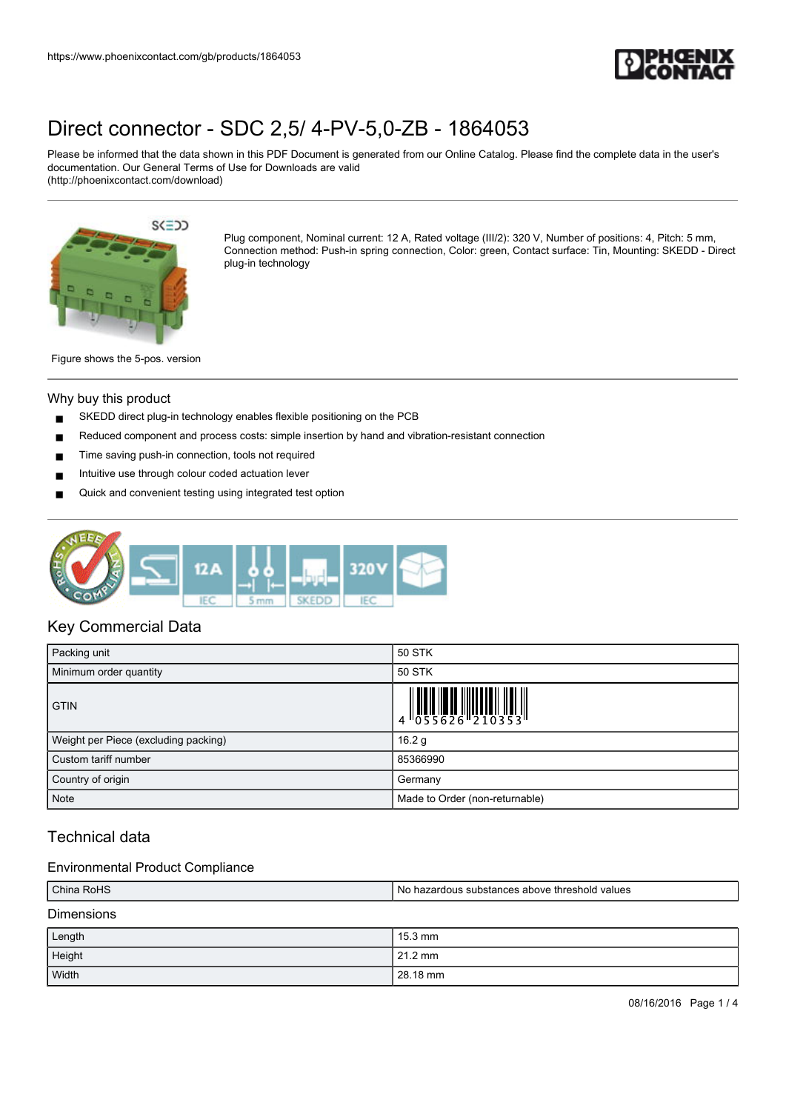

Please be informed that the data shown in this PDF Document is generated from our Online Catalog. Please find the complete data in the user's documentation. Our General Terms of Use for Downloads are valid (http://phoenixcontact.com/download)



Plug component, Nominal current: 12 A, Rated voltage (III/2): 320 V, Number of positions: 4, Pitch: 5 mm, Connection method: Push-in spring connection, Color: green, Contact surface: Tin, Mounting: SKEDD - Direct plug-in technology

Figure shows the 5-pos. version

#### Why buy this product

- SKEDD direct plug-in technology enables flexible positioning on the PCB
- Reduced component and process costs: simple insertion by hand and vibration-resistant connection
- Time saving push-in connection, tools not required
- Intuitive use through colour coded actuation lever
- Quick and convenient testing using integrated test option



## Key Commercial Data

| Packing unit                         | 50 STK                                                                                                                                                                                                                                                                                                                      |  |
|--------------------------------------|-----------------------------------------------------------------------------------------------------------------------------------------------------------------------------------------------------------------------------------------------------------------------------------------------------------------------------|--|
| Minimum order quantity               | 50 STK                                                                                                                                                                                                                                                                                                                      |  |
| <b>GTIN</b>                          | $\begin{array}{c} 1 & 0 & 0 & 0 \\ 0 & 0 & 0 & 0 & 0 \\ 0 & 0 & 0 & 0 & 0 \\ 0 & 0 & 0 & 0 & 0 \\ 0 & 0 & 0 & 0 & 0 \\ 0 & 0 & 0 & 0 & 0 \\ 0 & 0 & 0 & 0 & 0 \\ 0 & 0 & 0 & 0 & 0 \\ 0 & 0 & 0 & 0 & 0 \\ 0 & 0 & 0 & 0 & 0 \\ 0 & 0 & 0 & 0 & 0 \\ 0 & 0 & 0 & 0 & 0 & 0 \\ 0 & 0 & 0 & 0 & 0 & 0 \\ 0 & 0 & 0 & 0 & 0 &$ |  |
| Weight per Piece (excluding packing) | 16.2 g                                                                                                                                                                                                                                                                                                                      |  |
| Custom tariff number                 | 85366990                                                                                                                                                                                                                                                                                                                    |  |
| Country of origin                    | Germany                                                                                                                                                                                                                                                                                                                     |  |
| <b>Note</b>                          | Made to Order (non-returnable)                                                                                                                                                                                                                                                                                              |  |

## Technical data

#### Environmental Product Compliance

| China RoHS        | I No hazardous substances above threshold values |
|-------------------|--------------------------------------------------|
| <b>Dimensions</b> |                                                  |

| Length | 15.3 mm  |
|--------|----------|
| Height | 21.2 mm  |
| Width  | 28.18 mm |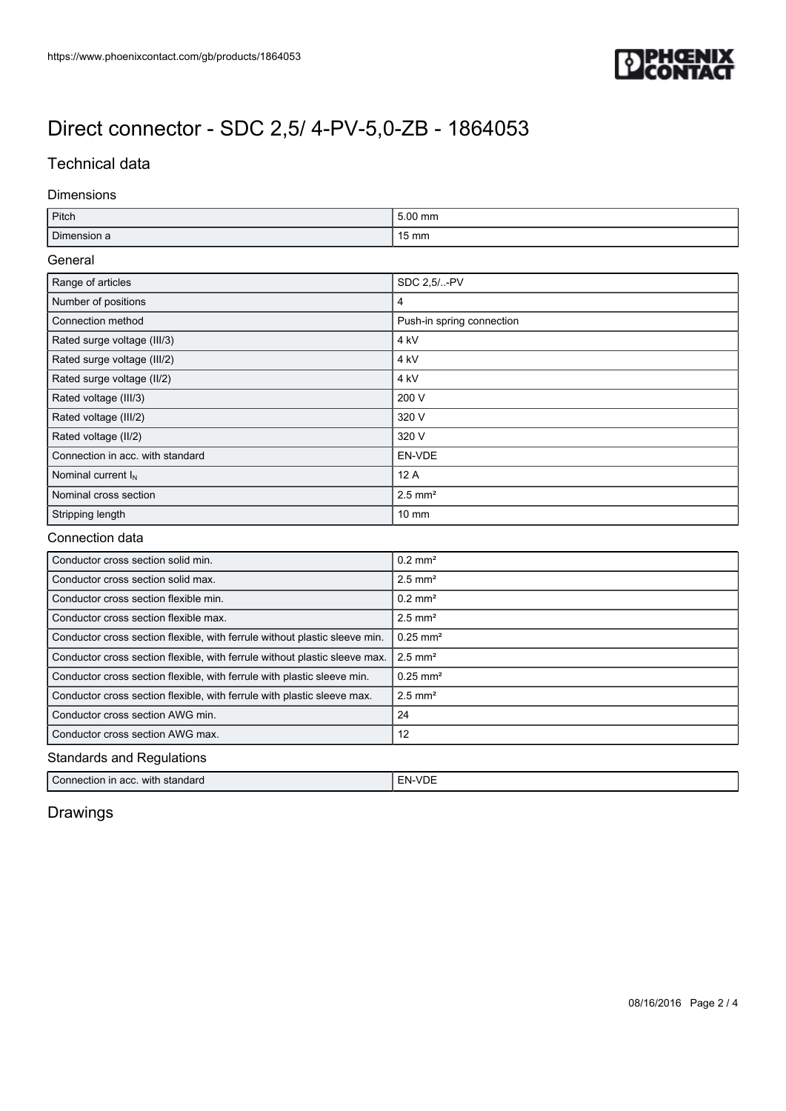

## Technical data

#### Dimensions

| Pitch                                                                      | 5.00 mm                   |  |
|----------------------------------------------------------------------------|---------------------------|--|
| Dimension a                                                                | 15 mm                     |  |
| General                                                                    |                           |  |
| Range of articles                                                          | SDC 2,5/-PV               |  |
| Number of positions                                                        | $\overline{4}$            |  |
| Connection method                                                          | Push-in spring connection |  |
| Rated surge voltage (III/3)                                                | 4 <sub>kV</sub>           |  |
| Rated surge voltage (III/2)                                                | 4 <sub>kV</sub>           |  |
| Rated surge voltage (II/2)                                                 | 4 <sub>kV</sub>           |  |
| Rated voltage (III/3)                                                      | 200 V                     |  |
| Rated voltage (III/2)                                                      | 320 V                     |  |
| Rated voltage (II/2)                                                       | 320 V                     |  |
| Connection in acc. with standard                                           | EN-VDE                    |  |
| Nominal current I <sub>N</sub>                                             | 12 A                      |  |
| Nominal cross section                                                      | $2.5$ mm <sup>2</sup>     |  |
| Stripping length                                                           | $10 \text{ mm}$           |  |
| Connection data                                                            |                           |  |
| Conductor cross section solid min.                                         | $0.2$ mm <sup>2</sup>     |  |
| Conductor cross section solid max.                                         | $2.5$ mm <sup>2</sup>     |  |
| Conductor cross section flexible min.                                      | $0.2$ mm <sup>2</sup>     |  |
| Conductor cross section flexible max.                                      | $2.5$ mm <sup>2</sup>     |  |
| Conductor cross section flexible, with ferrule without plastic sleeve min. | $0.25$ mm <sup>2</sup>    |  |
| Conductor cross section flexible, with ferrule without plastic sleeve max. | $2.5$ mm <sup>2</sup>     |  |
| Conductor cross section flexible, with ferrule with plastic sleeve min.    | $0.25$ mm <sup>2</sup>    |  |

## Standards and Regulations

Conductor cross section flexible, with ferrule with plastic sleeve max.  $\Big|2.5 \text{ mm}^2$ Conductor cross section AWG min. 24 Conductor cross section AWG max. 12

Connection in acc. with standard EN-VDE

## Drawings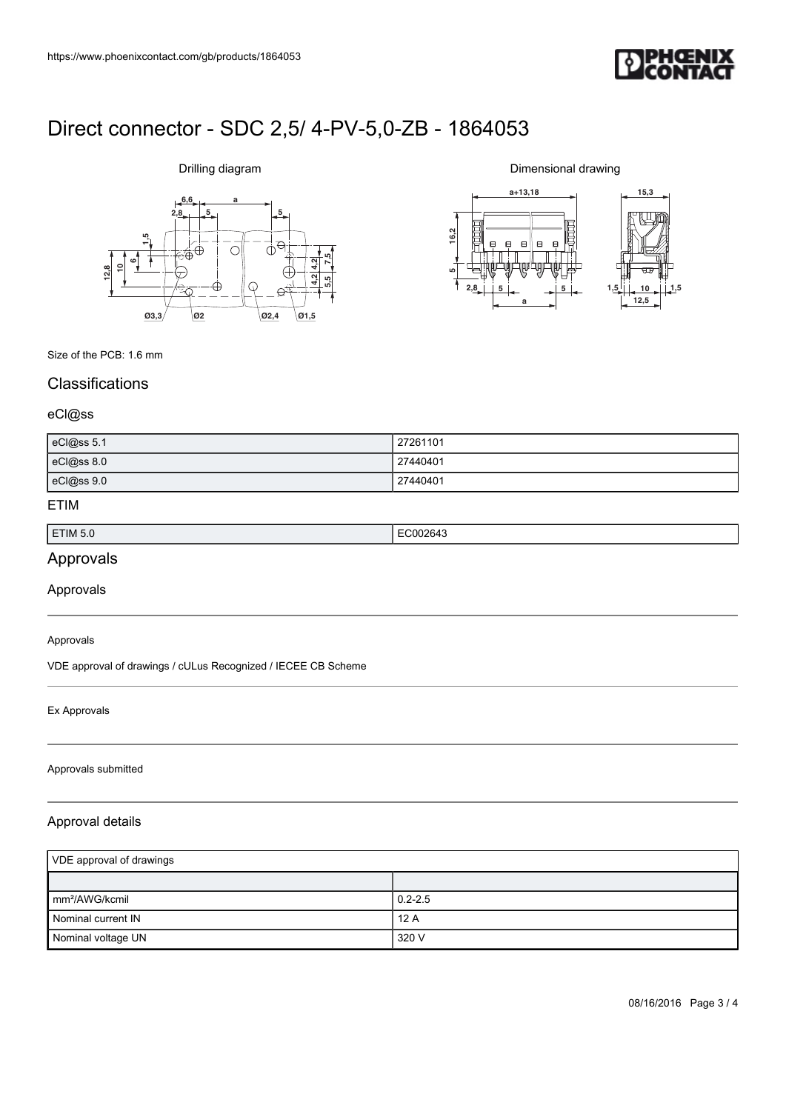

# **6,6 a**  $2,8$   $5$ **612,810 1,5 7,5 5,5 4,2 4,2 Ø3,3 Ø2 Ø2,4 Ø1,5**

Drilling diagram

Dimensional drawing



Size of the PCB: 1.6 mm

## **Classifications**

#### eCl@ss

| eCl@ss 5.1 | 27261101 |
|------------|----------|
| eCl@ss 8.0 | 27440401 |
| eCl@ss 9.0 | 27440401 |

### ETIM

| ETIM 5.0 | .<br>. |
|----------|--------|
|          |        |

## Approvals

Approvals

#### Approvals

VDE approval of drawings / cULus Recognized / IECEE CB Scheme

#### Ex Approvals

#### Approvals submitted

### Approval details

| VDE approval of drawings    |             |
|-----------------------------|-------------|
|                             |             |
| $\mathsf{Imm}^2$ /AWG/kcmil | $0.2 - 2.5$ |
| Nominal current IN          | 12A         |
| Nominal voltage UN          | 320 V       |